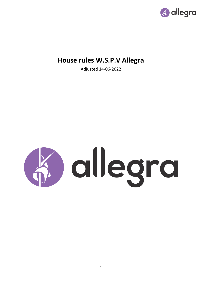

# **House rules W.S.P.V Allegra**

Adjusted 14-06-2022

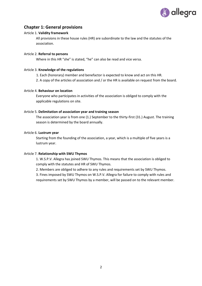

# **Chapter 1: General provisions**

#### Article 1. **Validity framework**

All provisions in these house rules (HR) are subordinate to the law and the statutes of the association.

#### Article 2. **Referral to persons**

Where in this HR "she" is stated, "he" can also be read and vice versa.

#### Article 3. **Knowledge of the regulations**

- 1. Each (honorary) member and benefactor is expected to know and act on this HR.
- 2. A copy of the articles of association and / or the HR is available on request from the board.

#### Article 4. **Behaviour on location**

Everyone who participates in activities of the association is obliged to comply with the applicable regulations on site.

#### Article 5. **Delimitation of association year and training season**

The association year is from one (1.) September to the thirty-first (31.) August. The training season is determined by the board annually.

#### Article 6. **Lustrum year**

Starting from the founding of the association, a year, which is a multiple of five years is a lustrum year.

#### Article 7. **Relationship with SWU Thymos**

1. W.S.P.V. Allegra has joined SWU Thymos. This means that the association is obliged to comply with the statutes and HR of SWU Thymos.

2. Members are obliged to adhere to any rules and requirements set by SWU Thymos.

3. Fines imposed by SWU Thymos on W.S.P.V. Allegra for failure to comply with rules and requirements set by SWU Thymos by a member, will be passed on to the relevant member.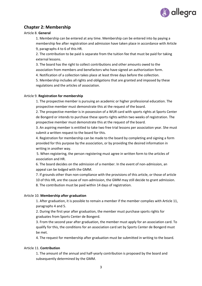

# **Chapter 2: Membership**

#### Article 8. **General**

1. Membership can be entered at any time. Membership can be entered into by paying a membership fee after registration and admission have taken place in accordance with Article 9, paragraphs 4 to 6 of this HR.

2. The contribution to be paid is separate from the tuition fee that must be paid for taking external lessons.

3. The board has the right to collect contributions and other amounts owed to the association from members and benefactors who have signed an authorization form.

4. Notification of a collection takes place at least three days before the collection.

5. Membership includes all rights and obligations that are granted and imposed by these regulations and the articles of association.

#### Article 9. **Registration for membership**

1. The prospective member is pursuing an academic or higher professional education. The prospective member must demonstrate this at the request of the board.

2. The prospective member is in possession of a WUR card with sports rights at Sports Center de Bongerd or intends to purchase these sports rights within two weeks of registration. The prospective member must demonstrate this at the request of the board.

3. An aspiring member is entitled to take two free trial lessons per association year. She must submit a written request to the board for this.

4. Registration for membership can be made to the board by completing and signing a form provided for this purpose by the association, or by providing the desired information in writing in another way.

5. When registering, the person registering must agree in written form to the articles of association and HR.

6. The board decides on the admission of a member. In the event of non-admission, an appeal can be lodged with the GMM.

7. If grounds other than non-compliance with the provisions of this article, or those of article 10 of this HR, are the cause of non-admission, the GMM may still decide to grant admission. 8. The contribution must be paid within 14 days of registration.

#### Article 10. **Membership after graduation**

1. After graduation, it is possible to remain a member if the member complies with Article 11, paragraphs 4 and 5.

2. During the first year after graduation, the member must purchase sports rights for graduates from Sports Center de Bongerd.

3. From the second year after graduation, the member must apply for an association card. To qualify for this, the conditions for an association card set by Sports Center de Bongerd must be met.

4. The request for membership after graduation must be submitted in writing to the board.

### Article 11. **Contribution**

1. The amount of the annual and half-yearly contribution is proposed by the board and subsequently determined by the GMM.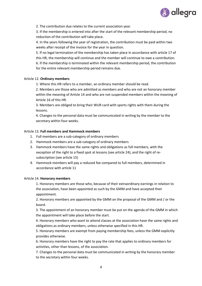

2. The contribution due relates to the current association year.

3. If the membership is entered into after the start of the relevant membership period, no reduction of the contribution will take place.

4. In the years following the year of registration, the contribution must be paid within two weeks after receipt of the invoice for the year in question.

5. If no legal termination of the membership has taken place in accordance with article 17 of this HR, the membership will continue and the member will continue to owe a contribution. 6. If the membership is terminated within the relevant membership period, the contribution for the entire relevant membership period remains due.

#### Article 12. **Ordinary members**

1. Where this HR refers to a member, an ordinary member should be read.

2. Members are those who are admitted as members and who are not an honorary member within the meaning of Article 14 and who are not suspended members within the meaning of Article 16 of this HR.

3. Members are obliged to bring their WUR card with sports rights with them during the lessons.

4. Changes to the personal data must be communicated in writing by the member to the secretary within four weeks.

#### Article 13. **Full members and Hammock members**

- 1. Full members are a sub-category of ordinary members
- 2. Hammock members are a sub-category of ordinary members
- 3. Hammock members have the same rights and obligations as full members, with the exception of the right to a fixed spot at lessons (see article 24), and the right of resubscription (see article 15)
- 4. Hammock members will pay a reduced fee compared to full members, determined in accordance with article 11

#### Article 14. **Honorary members**

1. Honorary members are those who, because of their extraordinary earnings in relation to the association, have been appointed as such by the GMM and have accepted their appointment.

2. Honorary members are appointed by the GMM on the proposal of the GMM and / or the board.

3. The appointment of an honorary member must be put on the agenda of the GMM in which the appointment will take place before the start.

4. Honorary members who want to attend classes at the association have the same rights and obligations as ordinary members, unless otherwise specified in this HR.

5. Honorary members are exempt from paying membership fees, unless the GMM explicitly provides otherwise.

6. Honorary members have the right to pay the rate that applies to ordinary members for activities, other than lessons, of the association.

7. Changes to the personal data must be communicated in writing by the honorary member to the secretary within four weeks.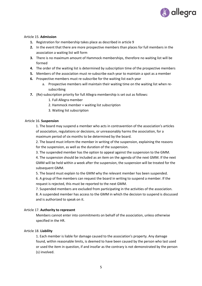

### Article 15. **Admission**

- **1.** Registration for membership takes place as described in article 9
- **2.** In the event that there are more prospective members than places for full members in the association a waiting list will form
- **3.** There is no maximum amount of Hammock memberships, therefore no waiting list will be formed
- **4.** The order of the waiting list is determined by subscription time of the prospective members
- **5.** Members of the association must re-subscribe each year to maintain a spot as a member
- **6.** Prospective members must re-subscribe for the waiting list each year
	- a. Prospective members will maintain their waiting time on the waiting list when resubscribing
- **7.** (Re)-subscription priority for full Allegra membership is set out as follows:
	- 1. Full Allegra member
	- 2. Hammock member + waiting list subscription
	- 3. Waiting list subscription

#### Article 16. **Suspension**

1. The board may suspend a member who acts in contravention of the association's articles of association, regulations or decisions, or unreasonably harms the association, for a maximum period of six months to be determined by the board.

2. The board must inform the member in writing of the suspension, explaining the reasons for the suspension, as well as the duration of the suspension.

3. The suspended member has the option to appeal against the suspension to the GMM.

4. The suspension should be included as an item on the agenda of the next GMM. If the next GMM will be held within a week after the suspension, the suspension will be treated for the subsequent GMM.

5. The board must explain to the GMM why the relevant member has been suspended.

6. A group of five members can request the board in writing to suspend a member. If the request is rejected, this must be reported to the next GMM.

7. Suspended members are excluded from participating in the activities of the association.

8. A suspended member has access to the GMM in which the decision to suspend is discussed and is authorized to speak on it.

#### Article 17. **Authority to represent**

Members cannot enter into commitments on behalf of the association, unless otherwise specified in the HR.

# Article 18. **Liability**

1. Each member is liable for damage caused to the association's property. Any damage found, within reasonable limits, is deemed to have been caused by the person who last used or used the item in question, if and insofar as the contrary is not demonstrated by the person (s) involved.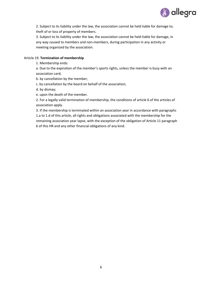

2. Subject to its liability under the law, the association cannot be held liable for damage to, theft of or loss of property of members.

3. Subject to its liability under the law, the association cannot be held liable for damage, in any way caused to members and non-members, during participation in any activity or meeting organized by the association.

### Article 19. **Termination of membership**

1. Membership ends:

a. Due to the expiration of the member's sports rights, unless the member is busy with an association card;

b. by cancellation by the member;

- c. by cancellation by the board on behalf of the association;
- d. by dismay;
- e. upon the death of the member.

2. For a legally valid termination of membership, the conditions of article 6 of the articles of association apply.

3. If the membership is terminated within an association year in accordance with paragraphs 1.a to 1.d of this article, all rights and obligations associated with the membership for the remaining association year lapse, with the exception of the obligation of Article 11 paragraph 6 of this HR and any other financial obligations of any kind.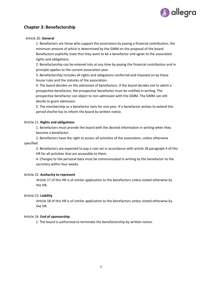

# **Chapter 3: Benefactorship**

#### Article 20. **General**

1. Benefactors are those who support the association by paying a financial contribution, the minimum amount of which is determined by the GMM on the proposal of the board. Benefactors explicitly state that they want to be a benefactor and agree to the associated rights and obligations.

2. Benefactorship can be entered into at any time by paying the financial contribution and in principle applies to the current association year.

3. Benefactorship includes all rights and obligations conferred and imposed on by these house rules and the statutes of the association.

4. The board decides on the admission of benefactors. If the board decides not to admit a prospective benefactor, the prospective benefactor must be notified in writing. The prospective benefactor can object to non-admission with the GMM. The GMM can still decide to grant admission.

5. The membership as a benefactor lasts for one year. If a benefactor wishes to extend this period she/he has to inform the board by written notice.

#### Article 21. **Rights and obligations**

1. Benefactors must provide the board with the desired information in writing when they become a benefactor.

2. Benefactors have the right to access all activities of the association, unless otherwise specified.

3. Benefactors are expected to pay a rate set in accordance with article 28 paragraph 4 of this HR for all activities that are accessible to them.

4. Changes to the personal data must be communicated in writing by the benefactor to the secretary within four weeks.

#### Article 22. **Authority to represent**

Article 17 of this HR is of similar application to the benefactors unless stated otherwise by the HR.

# Article 23. **Liability**

Article 18 of this HR is of similar application to the benefactors unless stated otherwise by the HR.

#### Article 24. **End of sponsorship**

1. The board is authorized to terminate the benefactorship by written notice.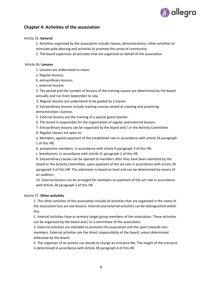

# **Chapter 4: Activities of the association**

### Article 25. **General**

1. Activities organized by the association include classes, demonstrations, other activities to stimulate pole dancing and activities to promote the sense of community.

2. The board supervises all activities that are organized on behalf of the association.

#### Article 26. **Lessons**

- 1. Lessons are understood to mean:
- a. Regular lessons;
- b. extraordinary lessons;
- c. external lessons.

2. The period and the number of lessons of the training season are determined by the board annually and run from September to July.

3. Regular lessons are understood to be guided by a trainer.

4. Extraordinary lessons include training courses aimed at creating and practicing demonstration routines.

5. External lessons are the training of a special guest teacher.

6. The board is responsible for the organization of regular and external lessons.

- 7. Extraordinary lessons can be organized by the board and / or the Activity Committee.
- 8. Regular classes are open to:

a. Members, against payment of the established rate in accordance with article 26 paragraph 1 of this HR;

- b. prospective members, in accordance with article 9 paragraph 3 of this HR;
- c. benefactors, in accordance with article 21 paragraph 2 of this HR.

9. Extraordinary classes can be opened to members after they have been admitted by the board or the Activity Committee, upon payment of the set rate in accordance with article 28 paragraph 2 of this HR. This admission is based on level and can be determined by means of an audition.

10. External lessons can be arranged for members on payment of the set rate in accordance with Article 28 paragraph 3 of this HR.

### Article 27. **Other activities**

1. The other activities of the association include all activities that are organized in the name of the association but are not lessons. Internal and external activities can be distinguished within this.

2. Internal activities have as primary target group members of the association. These activities can be organized by the board and / or a committee of the association.

3. External activities are intended to promote the association and the sport towards nonmembers. External activities are the direct responsibility of the board, unless determined otherwise by the board.

4. The organizer of an activity can decide to charge an entrance fee. The height of the entrance is determined in accordance with Article 28 paragraph 4 of this HR.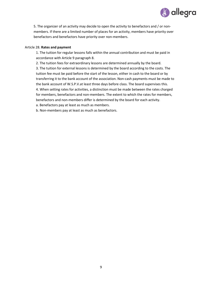

5. The organizer of an activity may decide to open the activity to benefactors and / or nonmembers. If there are a limited number of places for an activity, members have priority over benefactors and benefactors have priority over non-members.

### Article 28. **Rates and payment**

1. The tuition for regular lessons falls within the annual contribution and must be paid in accordance with Article 9 paragraph 8.

2. The tuition fees for extraordinary lessons are determined annually by the board. 3. The tuition for external lessons is determined by the board according to the costs. The tuition fee must be paid before the start of the lesson, either in cash to the board or by transferring it to the bank account of the association. Non-cash payments must be made to the bank account of W.S.P.V.at least three days before class. The board supervises this. 4. When setting rates for activities, a distinction must be made between the rates charged for members, benefactors and non-members. The extent to which the rates for members, benefactors and non-members differ is determined by the board for each activity.

a. Benefactors pay at least as much as members.

b. Non-members pay at least as much as benefactors.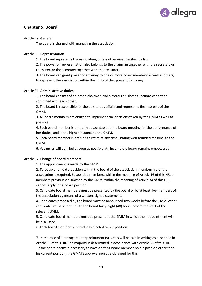

# **Chapter 5: Board**

### Article 29. **General**

The board is charged with managing the association.

### Article 30. **Representation**

1. The board represents the association, unless otherwise specified by law.

2. The power of representation also belongs to the chairman together with the secretary or treasurer, or the secretary together with the treasurer.

3. The board can grant power of attorney to one or more board members as well as others, to represent the association within the limits of that power of attorney.

### Article 31. **Administrative duties**

1. The board consists of at least a chairman and a treasurer. These functions cannot be combined with each other.

2. The board is responsible for the day-to-day affairs and represents the interests of the GMM.

3. All board members are obliged to implement the decisions taken by the GMM as well as possible.

4. Each board member is primarily accountable to the board meeting for the performance of her duties, and in the higher instance to the GMM.

5. Each board member is entitled to retire at any time, stating well-founded reasons, to the GMM.

6. Vacancies will be filled as soon as possible. An incomplete board remains empowered.

# Article 32. **Change of board members**

1. The appointment is made by the GMM.

2. To be able to hold a position within the board of the association, membership of the association is required. Suspended members, within the meaning of Article 16 of this HR, or members previously dismissed by the GMM, within the meaning of Article 34 of this HR, cannot apply for a board position.

3. Candidate board members must be presented by the board or by at least five members of the association by means of a written, signed statement.

4. Candidates proposed by the board must be announced two weeks before the GMM, other candidates must be notified to the board forty-eight (48) hours before the start of the relevant GMM.

5. Candidate board members must be present at the GMM in which their appointment will be discussed.

6. Each board member is individually elected to her position.

7. In the case of a management appointment (s), votes will be cast in writing as described in Article 55 of this HR. The majority is determined in accordance with Article 55 of this HR. . If the board deems it necessary to have a sitting board member hold a position other than his current position, the GMM's approval must be obtained for this.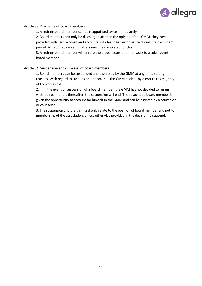

#### Article 33. **Discharge of board members**

1. A retiring board member can be reappointed twice immediately.

2. Board members can only be discharged after, in the opinion of the GMM, they have provided sufficient account and accountability for their performance during the past board period. All required current matters must be completed for this.

3. A retiring board member will ensure the proper transfer of her work to a subsequent board member.

#### Article 34. **Suspension and dismissal of board members**

1. Board members can be suspended and dismissed by the GMM at any time, stating reasons. With regard to suspension or dismissal, the GMM decides by a two-thirds majority of the votes cast.

2. If, in the event of suspension of a board member, the GMM has not decided to resign within three months thereafter, the suspension will end. The suspended board member is given the opportunity to account for himself in the GMM and can be assisted by a counselor or counselor.

3. The suspension and the dismissal only relate to the position of board member and not to membership of the association, unless otherwise provided in the decision to suspend.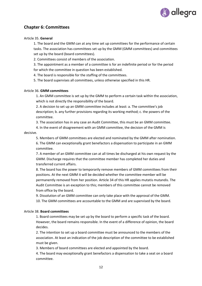

# **Chapter 6: Committees**

### Article 35. **General**

1. The board and the GMM can at any time set up committees for the performance of certain tasks. The association has committees set up by the GMM (GMM committees) and committees set up by the board (board committees).

2. Committees consist of members of the association.

3. The appointment as a member of a committee is for an indefinite period or for the period for which the committee in question has been established.

4. The board is responsible for the staffing of the committees.

5. The board supervises all committees, unless otherwise specified in this HR.

#### Article 36. **GMM committees**

1. An GMM committee is set up by the GMM to perform a certain task within the association, which is not directly the responsibility of the board.

2. A decision to set up an GMM committee includes at least: a. The committee's job description; b. any further provisions regarding its working method; c. the powers of the committee.

3. The association has in any case an Audit Committee, this must be an GMM committee.

4. In the event of disagreement with an GMM committee, the decision of the GMM is

#### decisive.

5. Members of GMM committees are elected and nominated by the GMM after nomination.

6. The GMM can exceptionally grant benefactors a dispensation to participate in an GMM committee.

7. A member of an GMM committee can at all times be discharged at his own request by the GMM. Discharge requires that the committee member has completed her duties and transferred current affairs.

8. The board has the power to temporarily remove members of GMM committees from their positions. At the next GMM it will be decided whether the committee member will be permanently removed from her position. Article 34 of this HR applies mutatis mutandis. The Audit Committee is an exception to this; members of this committee cannot be removed from office by the board.

9. Dissolution of an GMM committee can only take place with the approval of the GMM. 10. The GMM committees are accountable to the GMM and are supervised by the board.

#### Article 38. **Board committees**

1. Board committees may be set up by the board to perform a specific task of the board. However, the board remains responsible. In the event of a difference of opinion, the board decides.

2. The intention to set up a board committee must be announced to the members of the association. At least an indication of the job description of the committee to be established must be given.

3. Members of board committees are elected and appointed by the board.

4. The board may exceptionally grant benefactors a dispensation to take a seat on a board committee.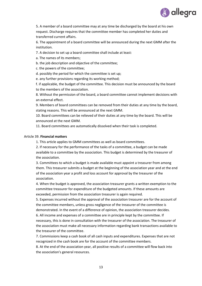

5. A member of a board committee may at any time be discharged by the board at his own request. Discharge requires that the committee member has completed her duties and transferred current affairs.

6. The appointment of a board committee will be announced during the next GMM after the institution.

7. A decision to set up a board committee shall include at least:

a. The names of its members;

b. the job description and objective of the committee;

c. the powers of the committee;

d. possibly the period for which the committee is set up;

e. any further provisions regarding its working method;

f. if applicable, the budget of the committee. This decision must be announced by the board to the members of the association.

8. Without the permission of the board, a board committee cannot implement decisions with an external effect.

9. Members of board committees can be removed from their duties at any time by the board, stating reasons. This will be announced at the next GMM.

10. Board committees can be relieved of their duties at any time by the board. This will be announced at the next GMM.

11. Board committees are automatically dissolved when their task is completed.

#### Article 39. **Financial matters**

1. This article applies to GMM committees as well as board committees.

2. If necessary for the performance of the tasks of a committee, a budget can be made available to a committee by the association. This budget is determined by the treasurer of the association.

3. Committees to which a budget is made available must appoint a treasurer from among them. This treasurer submits a budget at the beginning of the association year and at the end of the association year a profit and loss account for approval by the treasurer of the association.

4. When the budget is approved, the association treasurer grants a written exemption to the committee treasurer for expenditure of the budgeted amounts. If these amounts are exceeded, permission from the association treasurer is again required.

5. Expenses incurred without the approval of the association treasurer are for the account of the committee members, unless gross negligence of the treasurer of the committee is demonstrated. In the event of a difference of opinion, the association treasurer decides.

6. All income and expenses of a committee are in principle kept by the committee. If necessary, this is done in consultation with the treasurer of the association. The treasurer of the association must make all necessary information regarding bank transactions available to the treasurer of the committee.

7. Commissions keep a cash book of all cash inputs and expenditures. Expenses that are not recognized in the cash book are for the account of the committee members.

8. At the end of the association year, all positive results of a committee will flow back into the association's general resources.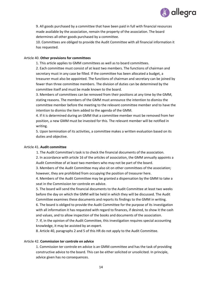

9. All goods purchased by a committee that have been paid in full with financial resources made available by the association, remain the property of the association. The board determines all other goods purchased by a committee.

10. Committees are obliged to provide the Audit Committee with all financial information it has requested.

#### Article 40. **Other provisions for committees**

1. This article applies to GMM committees as well as to board committees.

2. Each committee must consist of at least two members. The functions of chairman and secretary must in any case be filled. If the committee has been allocated a budget, a treasurer must also be appointed. The functions of chairman and secretary can be joined by fewer than three committee members. The division of duties can be determined by the committee itself and must be made known to the board.

3. Members of committees can be removed from their positions at any time by the GMM, stating reasons. The members of the GMM must announce the intention to dismiss the committee member before the meeting to the relevant committee member and to have the intention to dismiss the item added to the agenda of the GMM.

4. If it is determined during an GMM that a committee member must be removed from her position, a new GMM must be invested for this. The relevant member will be notified in writing.

5. Upon termination of its activities, a committee makes a written evaluation based on its duties and objective.

### Article 41. **Audit committee**

1. The Audit Committee's task is to check the financial documents of the association.

2. In accordance with article 16 of the articles of association, the GMM annually appoints a Audit Committee of at least two members who may not be part of the board.

3. Members of the Audit Committee may also sit on other committees of the association; however, they are prohibited from occupying the position of treasurer here.

4. Members of the Audit Committee may be granted a dispensation by the GMM to take a seat in the Commission ter controle en advice.

5. The board will send the financial documents to the Audit Committee at least two weeks before the day on which the GMM will be held in which they will be discussed. The Audit Committee examines these documents and reports its findings to the GMM in writing.

6. The board is obliged to provide the Audit Committee for the purpose of its investigation with all information it has requested with regard to finances, if desired, to show it the cash and values, and to allow inspection of the books and documents of the association.

7. If, in the opinion of the Audit Committee, this investigation requires special accounting knowledge, it may be assisted by an expert.

8. Article 40, paragraphs 2 and 5 of this HR do not apply to the Audit Committee.

#### Article 42. **Commission ter controle en advice**

1. Commission ter controle en advice is an GMM committee and has the task of providing constructive advice to the board. This can be either solicited or unsolicited. In principle, advice given has no consequences.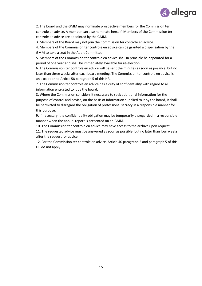

2. The board and the GMM may nominate prospective members for the Commission ter controle en advice. A member can also nominate herself. Members of the Commission ter controle en advice are appointed by the GMM.

3. Members of the Board may not join the Commission ter controle en advice.

4. Members of the Commission ter controle en advice can be granted a dispensation by the GMM to take a seat in the Audit Committee.

5. Members of the Commission ter controle en advice shall in principle be appointed for a period of one year and shall be immediately available for re-election.

6. The Commission ter controle en advice will be sent the minutes as soon as possible, but no later than three weeks after each board meeting. The Commission ter controle en advice is an exception to Article 58 paragraph 5 of this HR.

7. The Commission ter controle en advice has a duty of confidentiality with regard to all information entrusted to it by the board.

8. Where the Commission considers it necessary to seek additional information for the purpose of control and advice, on the basis of information supplied to it by the board, it shall be permitted to disregard the obligation of professional secrecy in a responsible manner for this purpose.

9. If necessary, the confidentiality obligation may be temporarily disregarded in a responsible manner when the annual report is presented on an GMM.

10. The Commission ter controle en advice may have access to the archive upon request.

11. The requested advice must be answered as soon as possible, but no later than four weeks after the request for advice.

12. For the Commission ter controle en advice, Article 40 paragraph 2 and paragraph 5 of this HR do not apply.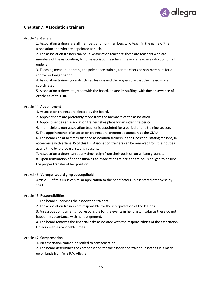

# **Chapter 7: Association trainers**

### Article 43. **General**

1. Association trainers are all members and non-members who teach in the name of the association and who are appointed as such.

2. The association trainers can be: a. Association teachers: these are teachers who are members of the association; b. non-association teachers: these are teachers who do not fall under a.

3. Teaching means supporting the pole dance training for members or non-members for a shorter or longer period.

4. Association trainers give structured lessons and thereby ensure that their lessons are coordinated.

5. Association trainers, together with the board, ensure its staffing, with due observance of Article 44 of this HR.

### Article 44. **Appointment**

1. Association trainers are elected by the board.

2. Appointments are preferably made from the members of the association.

3. Appointment as an association trainer takes place for an indefinite period.

4. In principle, a non-association teacher is appointed for a period of one training season.

5. The appointments of association trainers are announced annually at the GMM.

6. The board can at all times suspend association trainers in their position, stating reasons, in accordance with article 35 of this HR. Association trainers can be removed from their duties at any time by the board, stating reasons.

7. Association trainers can at any time resign from their position on written grounds.

8. Upon termination of her position as an association trainer, the trainer is obliged to ensure the proper transfer of her position.

#### Artikel 45. **Vertegenwoordigingsbevoegdheid**

Article 17 of this HR is of similar application to the benefactors unless stated otherwise by the HR.

# Article 46. **Responsibilities**

1. The board supervises the association trainers.

2. The association trainers are responsible for the interpretation of the lessons.

3. An association trainer is not responsible for the events in her class, insofar as these do not happen in accordance with her assignment.

4. The board removes the financial risks associated with the responsibilities of the association trainers within reasonable limits.

# Article 47. **Compensation**

1. An association trainer is entitled to compensation.

2. The board determines the compensation for the association trainer, insofar as it is made up of funds from W.S.P.V. Allegra.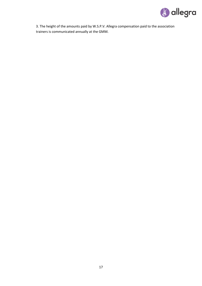

3. The height of the amounts paid by W.S.P.V. Allegra compensation paid to the association trainers is communicated annually at the GMM.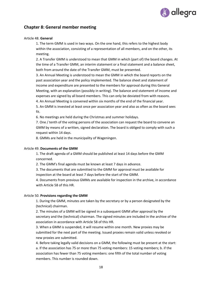

# **Chapter 8: General member meeting**

#### Article 48. **General**

1. The term GMM is used in two ways. On the one hand, this refers to the highest body within the association, consisting of a representation of all members, and on the other, its meeting.

2. A Transfer GMM is understood to mean that GMM in which (part of) the board changes. At the time of a Transfer GMM, an interim statement or a final statement and a balance sheet, both from around the date of the Transfer GMM, must be presented.

3. An Annual Meeting is understood to mean the GMM in which the board reports on the past association year and the policy implemented. The balance sheet and statement of income and expenditure are presented to the members for approval during this General Meeting, with an explanation (possibly in writing). The balance and statement of income and expenses are signed by all board members. This can only be deviated from with reasons.

4. An Annual Meeting is convened within six months of the end of the financial year.

5. An GMM is invested at least once per association year and also as often as the board sees fit.

6. No meetings are held during the Christmas and summer holidays.

7. One / tenth of the voting persons of the association can request the board to convene an GMM by means of a written, signed declaration. The board is obliged to comply with such a request within 14 days.

8. GMMs are held in the municipality of Wageningen.

#### Article 49. **Documents of the GMM**

1. The draft agenda of a GMM should be published at least 14 days before the GMM concerned.

2. The GMM's final agenda must be known at least 7 days in advance.

3. The documents that are submitted to the GMM for approval must be available for inspection at the board at least 7 days before the start of the GMM.

4. Documents from previous GMMs are available for inspection in the archive, in accordance with Article 58 of this HR.

#### Article 50. **Provisions regarding the GMM**

1. During the GMM, minutes are taken by the secretary or by a person designated by the (technical) chairman.

2. The minutes of a GMM will be signed in a subsequent GMM after approval by the secretary and the (technical) chairman. The signed minutes are included in the archive of the association in accordance with Article 58 of this HR.

3. When a GMM is suspended, it will resume within one month. New proxies may be submitted for the next part of the meeting. Issued proxies remain valid unless revoked or new proxies are submitted.

4. Before taking legally valid decisions on a GMM, the following must be present at the start: a. If the association has 75 or more than 75 voting members: 15 voting members; b. if the association has fewer than 75 voting members: one fifth of the total number of voting members. This number is rounded down.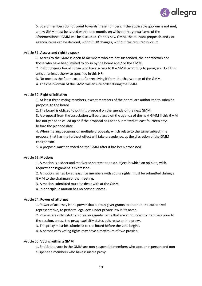

5. Board members do not count towards these numbers. If the applicable quorum is not met, a new GMM must be issued within one month, on which only agenda items of the aforementioned GMM will be discussed. On this new GMM, the relevant proposals and / or agenda items can be decided, without HR changes, without the required quorum.

### Article 51. **Access and right to speak**

1. Access to the GMM is open to members who are not suspended, the benefactors and those who have been invited to do so by the board and / or the GMM.

2. Right to speak has all those who have access to the GMM according to paragraph 1 of this article, unless otherwise specified in this HR.

3. No one has the floor except after receiving it from the chairwoman of the GMM.

4. The chairwoman of the GMM will ensure order during the GMM.

### Article 52. **Right of initiative**

1. At least three voting members, except members of the board, are authorized to submit a proposal to the board.

2. The board is obliged to put this proposal on the agenda of the next GMM.

3. A proposal from the association will be placed on the agenda of the next GMM if this GMM has not yet been called up or if the proposal has been submitted at least fourteen days before the planned date.

4. When making decisions on multiple proposals, which relate to the same subject, the proposal that has the furthest effect will take precedence, at the discretion of the GMM chairperson.

5. A proposal must be voted on the GMM after it has been processed.

#### Article 53. **Motions**

1. A motion is a short and motivated statement on a subject in which an opinion, wish, request or assignment is expressed.

2. A motion, signed by at least five members with voting rights, must be submitted during a GMM to the chairman of the meeting.

3. A motion submitted must be dealt with at the GMM.

4. In principle, a motion has no consequences.

#### Article 54. **Power of attorney**

1. Power of attorney is the power that a proxy giver grants to another, the authorized representative, to perform legal acts under private law in its name.

2. Proxies are only valid for votes on agenda items that are announced to members prior to the session, unless the proxy explicitly states otherwise on the proxy.

3. The proxy must be submitted to the board before the vote begins.

4. A person with voting rights may have a maximum of two proxies.

#### Article 55. **Voting within a GMM**

1. Entitled to vote in the GMM are non-suspended members who appear in person and nonsuspended members who have issued a proxy.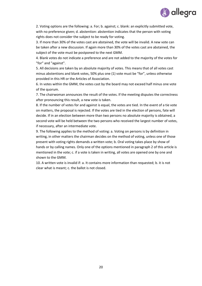

2. Voting options are the following: a. For; b. against; c. blank: an explicitly submitted vote, with no preference given; d. abstention: abstention indicates that the person with voting rights does not consider the subject to be ready for voting.

3. If more than 30% of the votes cast are abstained, the vote will be invalid. A new vote can be taken after a new discussion. If again more than 30% of the votes cast are abstained, the subject of the vote must be postponed to the next GMM.

4. Blank votes do not indicate a preference and are not added to the majority of the votes for "for" and "against".

5. All decisions are taken by an absolute majority of votes. This means that of all votes cast minus abstentions and blank votes, 50% plus one (1) vote must be "for", unless otherwise provided in this HR or the Articles of Association.

6. In votes within the GMM, the votes cast by the board may not exceed half minus one vote of the quorum.

7. The chairwoman announces the result of the votes. If the meeting disputes the correctness after pronouncing this result, a new vote is taken.

8. If the number of votes for and against is equal, the votes are tied. In the event of a tie vote on matters, the proposal is rejected. If the votes are tied in the election of persons, fate will decide. If in an election between more than two persons no absolute majority is obtained, a second vote will be held between the two persons who received the largest number of votes, if necessary, after an intermediate vote.

9. The following applies to the method of voting: a. Voting on persons is by definition in writing, in other matters the chairman decides on the method of voting, unless one of those present with voting rights demands a written vote; b. Oral voting takes place by show of hands or by calling names. Only one of the options mentioned in paragraph 2 of this article is mentioned in the vote; c. if a vote is taken in writing, all votes are opened one by one and shown to the GMM.

10. A written vote is invalid if: a. It contains more information than requested; b. it is not clear what is meant; c. the ballot is not closed.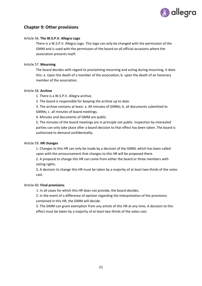

# **Chapter 9: Other provisions**

### Article 56. **The W.S.P.V. Allegra Logo**

There is a W.S.P.V. Allegra Logo. This logo can only be changed with the permission of the GMM and is used with the permission of the board on all official occasions where the association presents itself.

### Article 57. **Mourning**

The board decides with regard to proclaiming mourning and acting during mourning, it does this: a. Upon the death of a member of the association; b. upon the death of an honorary member of the association.

#### Article 58. **Archive**

1. There is a W.S.P.V. Allegra archive.

2. The board is responsible for keeping the archive up to date.

3. The archive contains at least: a. All minutes of GMMs; b. all documents submitted to GMMs; c. all minutes of board meetings.

4. Minutes and documents of GMM are public.

5. The minutes of the board meetings are in principle not public. Inspection by interested parties can only take place after a board decision to that effect has been taken. The board is authorized to demand confidentiality.

### Article 59. **HR changes**

1. Changes to this HR can only be made by a decision of the GMM, which has been called upon with the announcement that changes to this HR will be proposed there.

2. A proposal to change this HR can come from either the board or three members with voting rights.

3. A decision to change this HR must be taken by a majority of at least two-thirds of the votes cast.

#### Article 60. **Final provisions**

1. In all cases for which this HR does not provide, the board decides.

2. In the event of a difference of opinion regarding the interpretation of the provisions contained in this HR, the GMM will decide.

3. The GMM can grant exemption from any article of this HR at any time. A decision to this effect must be taken by a majority of at least two-thirds of the votes cast.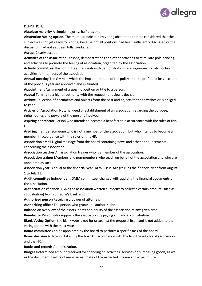

#### **DEFINITIONS**

**Absolute majority** A simple majority, half plus one.

**Abstention Voting option.** The member indicated by voting abstention that he considered that the subject was not yet ready for voting, because not all positions had been sufficiently discussed or the discussion had not yet been fully conducted.

**Accept** Clearly accept.

**Activities of the association** Lessons, demonstrations and other activities to stimulate pole dancing and activities to promote the feeling of association, organized by the association.

**Activity committee** The committee that deals with demonstrations and organizes social/sportive activities for members of the association.

**Annual meeting** The GMM in which the implementation of the policy and the profit and loss account of the previous year are approved and evaluated.

**Appointment** Assignment of a specific position or title to a person.

**Appeal** Turning to a higher authority with the request to review a decision.

**Archive** Collection of documents and objects from the past and objects that one wishes or is obliged to keep.

**Articles of Association** Notarial deed of establishment of an association regarding the purpose, rights, duties and powers of the persons involved.

**Aspiring benefactor** Person who intends to become a benefactor in accordance with the rules of this HR.

**Aspiring member** Someone who is not a member of the association, but who intends to become a member in accordance with the rules of this HR.

**Association email** Digital message from the board containing news and other announcements concerning the association**.**

**Association teacher** An association trainer who is a member of the association.

**Association trainer** Members and non-members who teach on behalf of the association and who are appointed as such.

**Association year** Is equal to the financial year. At W.S.P.V. Allegra runs the financial year from August 1 to July 31.

**Audit committee** Independent GMM committee, charged with auditing the financial documents of the association.

**Authorization (financial)** Give the association written authority to collect a certain amount (such as contribution) from someone's bank account.

**Authorized person** Receiving a power of attorney.

**Authorizing officer** The person who grants the authorization.

**Balance** An overview of the assets, debts and equity of the association at any given time.

**Benefactor** Person who supports the association by paying a financial contribution.

**Blank Voting Option**; the blank vote is not for or against the proposal itself and is not added to the voting option with the most votes.

**Board committee** Can be appointed by the board to perform a specific task of the board.

**Board decision** A decision taken by the board in accordance with the law, the articles of association and the HR.

**Books and records** Administration.

**Budget** Determined amount reserved for spending on activities, services or purchasing goods, as well as the document itself containing an estimate of the expected income and expenditure.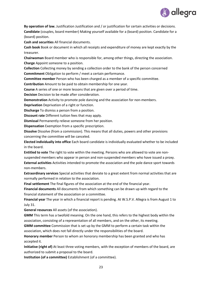

**By operation of law.** Justification Justification and / or justification for certain activities or decisions. **Candidate** (couples, board member) Making yourself available for a (board) position. Candidate for a (board) position.

**Cash and securities** All financial documents.

**Cash book** Book or document in which all receipts and expenditure of money are kept exactly by the treasurer.

**Chairwoman** Board member who is responsible for, among other things, directing the association. **Charge** Appoint someone to a position.

**Collection** Collecting money by sending a collection order to the bank of the person concerned **Commitment** Obligation to perform / meet a certain performance.

**Committee member** Person who has been charged as a member of a specific committee.

**Contribution** Amount to be paid to obtain membership for one year.

**Course** A series of one or more lessons that are given over a period of time.

**Decision** Decision to be made after consideration.

**Demonstration** Activity to promote pole dancing and the association for non-members.

**Deprivation** Deprivation of a right or function.

**Discharge** To dismiss a person from a position.

**Discount rate** Different tuition fees that may apply.

**Dismissal** Permanently relieve someone from her position.

**Dispensation** Exemption from a specific prescription.

**Dissolve** Dissolve (from a commission). This means that all duties, powers and other provisions concerning the committee will be canceled.

**Elected individually into office** Each board candidate is individually evaluated whether to be included in the board.

**Entitled to vote** The right to vote within the meeting. Persons who are allowed to vote are nonsuspended members who appear in person and non-suspended members who have issued a proxy. **External activities** Activities intended to promote the association and the pole dance sport towards

non-members.

**Extraordinary services** Special activities that deviate to a great extent from normal activities that are normally performed in relation to the association.

**Final settlement** The final figures of the association at the end of the financial year.

**Financial documents** All documents from which something can be drawn up with regard to the financial statement of the association or a committee.

**Financial year** The year in which a financial report is pending. At W.S.P.V. Allegra is from August 1 to July 31.

**General resources** All assets (of the association).

**GMM** This term has a twofold meaning. On the one hand, this refers to the highest body within the association, consisting of a representation of all members, and on the other, its meeting.

**GMM committee** Commission that is set up by the GMM to perform a certain task within the association, which does not fall directly under the responsibilities of the board.

**Honorary member** Person to whom an honorary membership has been granted and who has accepted it.

**Initiative (right of)** At least three voting members, with the exception of members of the board, are authorized to submit a proposal to the board.

**Institution (of a committee)** Establishment (of a committee).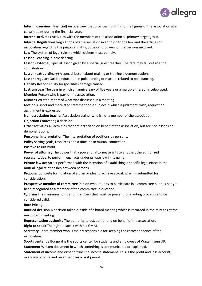

**Interim overview (financial)** An overview that provides insight into the figures of the association at a certain point during the financial year.

**Internal activities** Activities with the members of the association as primary target group. **Internal Regulations** Regulations of an association in addition to the law and the articles of association regarding the purpose, rights, duties and powers of the persons involved. **Law** The system of legal rules to which citizens must comply.

**Lesson** Teaching in pole dancing.

**Lesson (external)** Special lesson given by a special guest teacher. The rate may fall outside the contribution.

**Lesson (extraordinary)** A special lesson about making or training a demonstration.

**Lesson (regular)** Guided education in pole dancing or matters related to pole dancing.

**Liability** Responsibility for (possible) damage caused.

**Lustrum year** The year in which an anniversary of five years or a multiple thereof is celebrated. **Member** Person who is part of the association.

**Minutes** Written report of what was discussed in a meeting.

**Motion** A short and motivated statement on a subject in which a judgment, wish, request or assignment is expressed.

**Non-association teacher** Association trainer who is not a member of the association. **Objection** Contesting a decision.

**Other activities** All activities that are organized on behalf of the association, but are not lessons or demonstrations.

**Personnel interpretation** The interpretation of positions by persons.

**Policy** Setting goals, resources and a timeline in mutual connection.

**Positive result** Profit.

**Power of attorney** The power that a power of attorney grants to another, the authorized representative, to perform legal acts under private law in its name.

**Private law act** An act performed with the intention of establishing a specific legal effect in the mutual legal relationship between persons.

**Proposal** Concrete formulation of a plan or idea to achieve a goal, which is submitted for consideration.

**Prospective member of committee** Person who intends to participate in a committee but has not yet been recognized as a member of the committee in question.

**Quorum** The minimum number of members that must be present for a voting procedure to be considered valid.

**Rate** Pricing.

**Ratified decision** A decision taken outside of a board meeting which is recorded in the minutes at the next board meeting.

**Representation authority** The authority to act, act for and on behalf of the association. **Right to speak** The right to speak within a GMM.

**Secretary** Board member who is mainly responsible for keeping the correspondence of the association.

**Sports center** de Bongerd is the sports center for students and employees of Wageningen UR.

**Statement** Written document in which something is communicated or explained.

**Statement of income and expenditure** The income statement. This is the profit and loss account; overview of costs and revenues over a past period.